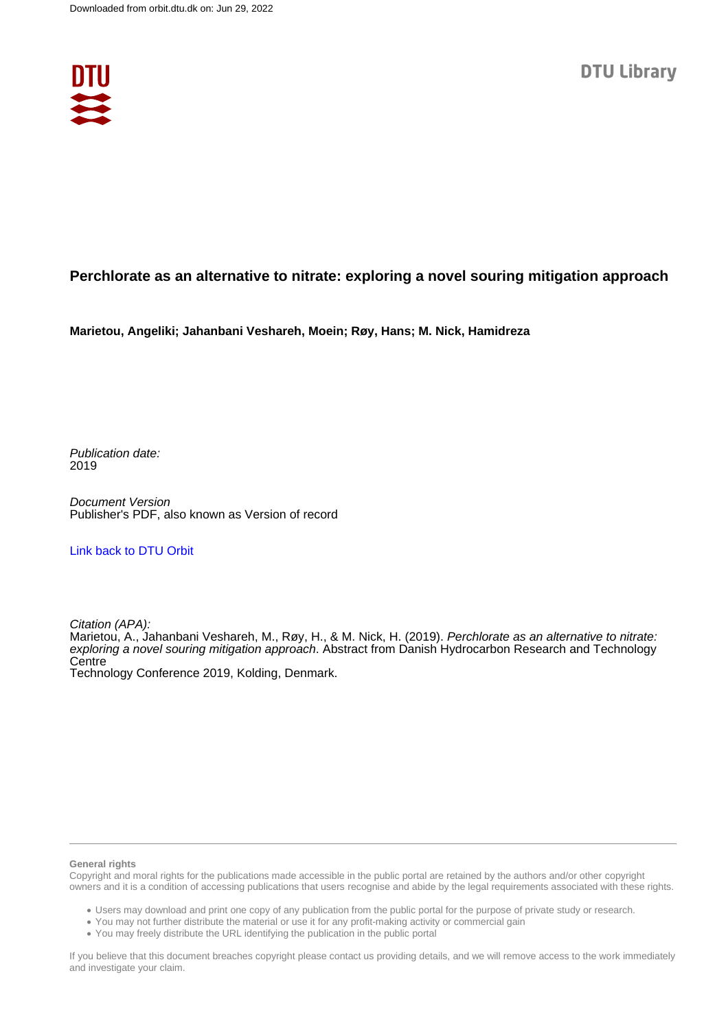

## **Perchlorate as an alternative to nitrate: exploring a novel souring mitigation approach**

**Marietou, Angeliki; Jahanbani Veshareh, Moein; Røy, Hans; M. Nick, Hamidreza**

Publication date: 2019

Document Version Publisher's PDF, also known as Version of record

### [Link back to DTU Orbit](https://orbit.dtu.dk/en/publications/ff34a45a-c41d-493e-9030-5ce58e7e0b4a)

Citation (APA):

Marietou, A., Jahanbani Veshareh, M., Røy, H., & M. Nick, H. (2019). Perchlorate as an alternative to nitrate: exploring a novel souring mitigation approach. Abstract from Danish Hydrocarbon Research and Technology **Centre** 

Technology Conference 2019, Kolding, Denmark.

#### **General rights**

Copyright and moral rights for the publications made accessible in the public portal are retained by the authors and/or other copyright owners and it is a condition of accessing publications that users recognise and abide by the legal requirements associated with these rights.

Users may download and print one copy of any publication from the public portal for the purpose of private study or research.

- You may not further distribute the material or use it for any profit-making activity or commercial gain
- You may freely distribute the URL identifying the publication in the public portal

If you believe that this document breaches copyright please contact us providing details, and we will remove access to the work immediately and investigate your claim.